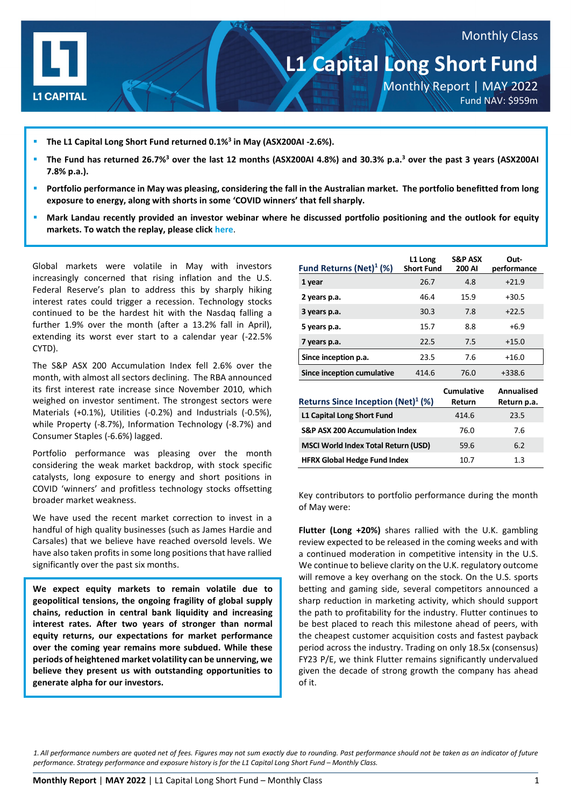

- **The L1 Capital Long Short Fund returned 0.1%3 in May (ASX200AI -2.6%).**
- **The Fund has returned 26.7%3 over the last 12 months (ASX200AI 4.8%) and 30.3% p.a.3 over the past 3 years (ASX200AI 7.8% p.a.).**
- **Portfolio performance in May was pleasing, considering the fall in the Australian market. The portfolio benefitted from long exposure to energy, along with shorts in some 'COVID winners' that fell sharply.**
- **Mark Landau recently provided an investor webinar where he discussed portfolio positioning and the outlook for equity markets. To watch the replay, please click [here](https://l1-1.wistia.com/medias/1y8n2d1nmt)**.

Global markets were volatile in May with investors increasingly concerned that rising inflation and the U.S. Federal Reserve's plan to address this by sharply hiking interest rates could trigger a recession. Technology stocks continued to be the hardest hit with the Nasdaq falling a further 1.9% over the month (after a 13.2% fall in April), extending its worst ever start to a calendar year (-22.5% CYTD).

The S&P ASX 200 Accumulation Index fell 2.6% over the month, with almost all sectors declining. The RBA announced its first interest rate increase since November 2010, which weighed on investor sentiment. The strongest sectors were Materials (+0.1%), Utilities (-0.2%) and Industrials (-0.5%), while Property (-8.7%), Information Technology (-8.7%) and Consumer Staples (-6.6%) lagged.

Portfolio performance was pleasing over the month considering the weak market backdrop, with stock specific catalysts, long exposure to energy and short positions in COVID 'winners' and profitless technology stocks offsetting broader market weakness.

We have used the recent market correction to invest in a handful of high quality businesses (such as James Hardie and Carsales) that we believe have reached oversold levels. We have also taken profits in some long positions that have rallied significantly over the past six months.

**We expect equity markets to remain volatile due to geopolitical tensions, the ongoing fragility of global supply chains, reduction in central bank liquidity and increasing interest rates. After two years of stronger than normal equity returns, our expectations for market performance over the coming year remains more subdued. While these periods of heightened market volatility can be unnerving, we believe they present us with outstanding opportunities to generate alpha for our investors.**

| Fund Returns (Net) $($ %)                      | L1 Long<br><b>Short Fund</b> | <b>S&amp;P ASX</b><br>200 AI | Out-<br>performance       |
|------------------------------------------------|------------------------------|------------------------------|---------------------------|
| 1 year                                         | 26.7                         | 4.8                          | $+21.9$                   |
| 2 years p.a.                                   | 46.4                         | 15.9                         | $+30.5$                   |
| 3 years p.a.                                   | 30.3                         | 7.8                          | $+22.5$                   |
| 5 years p.a.                                   | 15.7                         | 8.8                          | $+6.9$                    |
| 7 years p.a.                                   | 22.5                         | 7.5                          | $+15.0$                   |
| Since inception p.a.                           | 23.5                         | 7.6                          | $+16.0$                   |
| <b>Since inception cumulative</b>              | 414.6                        | 76.0                         | $+338.6$                  |
| Returns Since Inception (Net) <sup>1</sup> (%) |                              | <b>Cumulative</b><br>Return  | Annualised<br>Return p.a. |
| L1 Capital Long Short Fund                     |                              | 414.6                        | 23.5                      |
| <b>S&amp;P ASX 200 Accumulation Index</b>      |                              | 76.0                         | 7.6                       |
| <b>MSCI World Index Total Return (USD)</b>     |                              | 59.6                         | 6.2                       |
| <b>HFRX Global Hedge Fund Index</b>            | 10.7                         | 1.3                          |                           |

Key contributors to portfolio performance during the month of May were:

**Flutter (Long +20%)** shares rallied with the U.K. gambling review expected to be released in the coming weeks and with a continued moderation in competitive intensity in the U.S. We continue to believe clarity on the U.K. regulatory outcome will remove a key overhang on the stock. On the U.S. sports betting and gaming side, several competitors announced a sharp reduction in marketing activity, which should support the path to profitability for the industry. Flutter continues to be best placed to reach this milestone ahead of peers, with the cheapest customer acquisition costs and fastest payback period across the industry. Trading on only 18.5x (consensus) FY23 P/E, we think Flutter remains significantly undervalued given the decade of strong growth the company has ahead of it.

*1. All performance numbers are quoted net of fees. Figures may not sum exactly due to rounding. Past performance should not be taken as an indicator of future performance. Strategy performance and exposure history is for the L1 Capital Long Short Fund – Monthly Class.*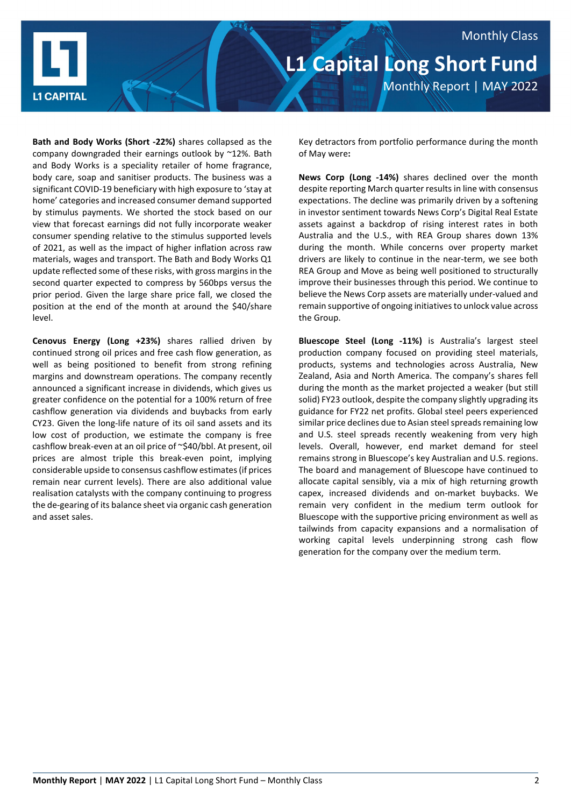

**Bath and Body Works (Short -22%)** shares collapsed as the company downgraded their earnings outlook by ~12%. Bath and Body Works is a speciality retailer of home fragrance, body care, soap and sanitiser products. The business was a significant COVID-19 beneficiary with high exposure to 'stay at home' categories and increased consumer demand supported by stimulus payments. We shorted the stock based on our view that forecast earnings did not fully incorporate weaker consumer spending relative to the stimulus supported levels of 2021, as well as the impact of higher inflation across raw materials, wages and transport. The Bath and Body Works Q1 update reflected some of these risks, with gross margins in the second quarter expected to compress by 560bps versus the prior period. Given the large share price fall, we closed the position at the end of the month at around the \$40/share level.

**Cenovus Energy (Long +23%)** shares rallied driven by continued strong oil prices and free cash flow generation, as well as being positioned to benefit from strong refining margins and downstream operations. The company recently announced a significant increase in dividends, which gives us greater confidence on the potential for a 100% return of free cashflow generation via dividends and buybacks from early CY23. Given the long-life nature of its oil sand assets and its low cost of production, we estimate the company is free cashflow break-even at an oil price of ~\$40/bbl. At present, oil prices are almost triple this break-even point, implying considerable upside to consensus cashflow estimates (if prices remain near current levels). There are also additional value realisation catalysts with the company continuing to progress the de-gearing of its balance sheet via organic cash generation and asset sales.

Key detractors from portfolio performance during the month of May were**:**

**News Corp (Long -14%)** shares declined over the month despite reporting March quarter results in line with consensus expectations. The decline was primarily driven by a softening in investor sentiment towards News Corp's Digital Real Estate assets against a backdrop of rising interest rates in both Australia and the U.S., with REA Group shares down 13% during the month. While concerns over property market drivers are likely to continue in the near-term, we see both REA Group and Move as being well positioned to structurally improve their businesses through this period. We continue to believe the News Corp assets are materially under-valued and remain supportive of ongoing initiatives to unlock value across the Group.

**Bluescope Steel (Long -11%)** is Australia's largest steel production company focused on providing steel materials, products, systems and technologies across Australia, New Zealand, Asia and North America. The company's shares fell during the month as the market projected a weaker (but still solid) FY23 outlook, despite the company slightly upgrading its guidance for FY22 net profits. Global steel peers experienced similar price declines due to Asian steel spreads remaining low and U.S. steel spreads recently weakening from very high levels. Overall, however, end market demand for steel remains strong in Bluescope's key Australian and U.S. regions. The board and management of Bluescope have continued to allocate capital sensibly, via a mix of high returning growth capex, increased dividends and on-market buybacks. We remain very confident in the medium term outlook for Bluescope with the supportive pricing environment as well as tailwinds from capacity expansions and a normalisation of working capital levels underpinning strong cash flow generation for the company over the medium term.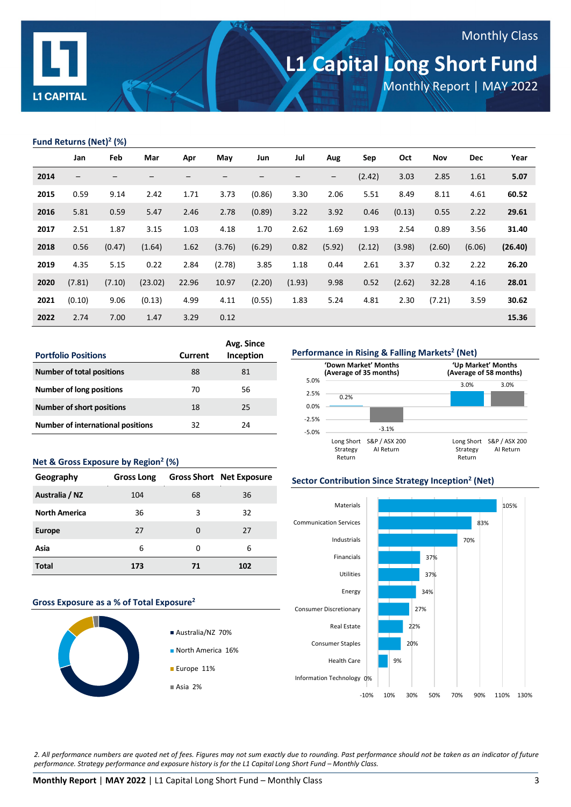

# **L1 Capital Long Short Fund**

Monthly Report | MAY 2022

Monthly Class

## **Fund Returns (Net)2 (%)**

|      | Jan               | Feb    | Mar     | Apr   | May             | Jun    | Jul    | Aug                      | Sep    | Oct    | Nov    | <b>Dec</b> | Year    |
|------|-------------------|--------|---------|-------|-----------------|--------|--------|--------------------------|--------|--------|--------|------------|---------|
| 2014 | $\qquad \qquad -$ | —      |         |       | $\qquad \qquad$ | -      | —      | $\overline{\phantom{a}}$ | (2.42) | 3.03   | 2.85   | 1.61       | 5.07    |
| 2015 | 0.59              | 9.14   | 2.42    | 1.71  | 3.73            | (0.86) | 3.30   | 2.06                     | 5.51   | 8.49   | 8.11   | 4.61       | 60.52   |
| 2016 | 5.81              | 0.59   | 5.47    | 2.46  | 2.78            | (0.89) | 3.22   | 3.92                     | 0.46   | (0.13) | 0.55   | 2.22       | 29.61   |
| 2017 | 2.51              | 1.87   | 3.15    | 1.03  | 4.18            | 1.70   | 2.62   | 1.69                     | 1.93   | 2.54   | 0.89   | 3.56       | 31.40   |
| 2018 | 0.56              | (0.47) | (1.64)  | 1.62  | (3.76)          | (6.29) | 0.82   | (5.92)                   | (2.12) | (3.98) | (2.60) | (6.06)     | (26.40) |
| 2019 | 4.35              | 5.15   | 0.22    | 2.84  | (2.78)          | 3.85   | 1.18   | 0.44                     | 2.61   | 3.37   | 0.32   | 2.22       | 26.20   |
| 2020 | (7.81)            | (7.10) | (23.02) | 22.96 | 10.97           | (2.20) | (1.93) | 9.98                     | 0.52   | (2.62) | 32.28  | 4.16       | 28.01   |
| 2021 | (0.10)            | 9.06   | (0.13)  | 4.99  | 4.11            | (0.55) | 1.83   | 5.24                     | 4.81   | 2.30   | (7.21) | 3.59       | 30.62   |
| 2022 | 2.74              | 7.00   | 1.47    | 3.29  | 0.12            |        |        |                          |        |        |        |            | 15.36   |

| <b>Portfolio Positions</b>               | Current | Avg. Since<br>Inception |
|------------------------------------------|---------|-------------------------|
| <b>Number of total positions</b>         | 88      | 81                      |
| <b>Number of long positions</b>          | 70      | 56                      |
| <b>Number of short positions</b>         | 18      | 25                      |
| <b>Number of international positions</b> | 32      | 24                      |

#### **Net & Gross Exposure by Region2 (%)**

| Geography            | <b>Gross Long</b> |    | <b>Gross Short Net Exposure</b> |
|----------------------|-------------------|----|---------------------------------|
| Australia / NZ       | 104               | 68 | 36                              |
| <b>North America</b> | 36                | 3  | 32                              |
| <b>Europe</b>        | 27                | O  | 27                              |
| Asia                 | 6                 | O  | 6                               |
| <b>Total</b>         | 173               | 71 | 102                             |

#### **Gross Exposure as a % of Total Exposure2**







### **Sector Contribution Since Strategy Inception2 (Net)**



*2. All performance numbers are quoted net of fees. Figures may not sum exactly due to rounding. Past performance should not be taken as an indicator of future performance. Strategy performance and exposure history is for the L1 Capital Long Short Fund – Monthly Class.*